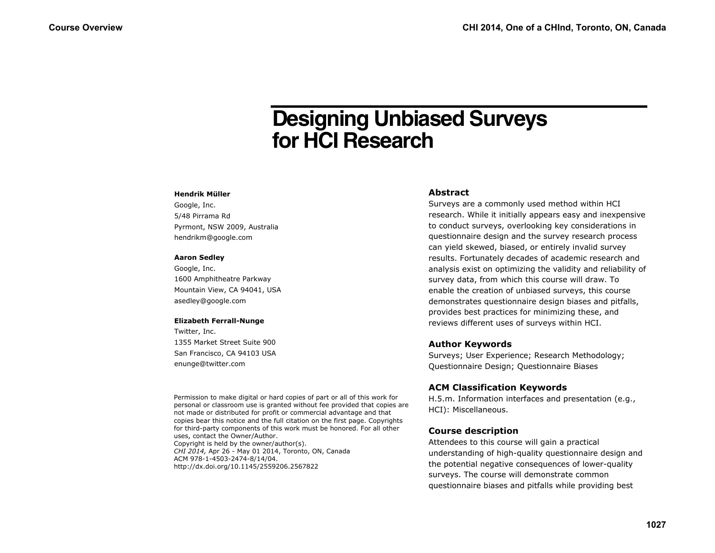# **Designing Unbiased Surveys for HCI Research**

### **Hendrik Müller**

Google, Inc. 5/48 Pirrama Rd Pyrmont, NSW 2009, Australia hendrikm@google.com

### **Aaron Sedley**

Google, Inc. 1600 Amphitheatre Parkway Mountain View, CA 94041, USA asedley@google.com

### **Elizabeth Ferrall-Nunge**

Twitter, Inc. 1355 Market Street Suite 900 San Francisco, CA 94103 USA enunge@twitter.com

Permission to make digital or hard copies of part or all of this work for personal or classroom use is granted without fee provided that copies are not made or distributed for profit or commercial advantage and that copies bear this notice and the full citation on the first page. Copyrights for third-party components of this work must be honored. For all other uses, contact the Owner/Author. Copyright is held by the owner/author(s). *CHI 2014,* Apr 26 - May 01 2014, Toronto, ON, Canada ACM 978-1-4503-2474-8/14/04. http://dx.doi.org/10.1145/2559206.2567822

# **Abstract**

Surveys are a commonly used method within HCI research. While it initially appears easy and inexpensive to conduct surveys, overlooking key considerations in questionnaire design and the survey research process can yield skewed, biased, or entirely invalid survey results. Fortunately decades of academic research and analysis exist on optimizing the validity and reliability of survey data, from which this course will draw. To enable the creation of unbiased surveys, this course demonstrates questionnaire design biases and pitfalls, provides best practices for minimizing these, and reviews different uses of surveys within HCI.

# **Author Keywords**

Surveys; User Experience; Research Methodology; Questionnaire Design; Questionnaire Biases

# **ACM Classification Keywords**

H.5.m. Information interfaces and presentation (e.g., HCI): Miscellaneous.

# **Course description**

Attendees to this course will gain a practical understanding of high-quality questionnaire design and the potential negative consequences of lower-quality surveys. The course will demonstrate common questionnaire biases and pitfalls while providing best